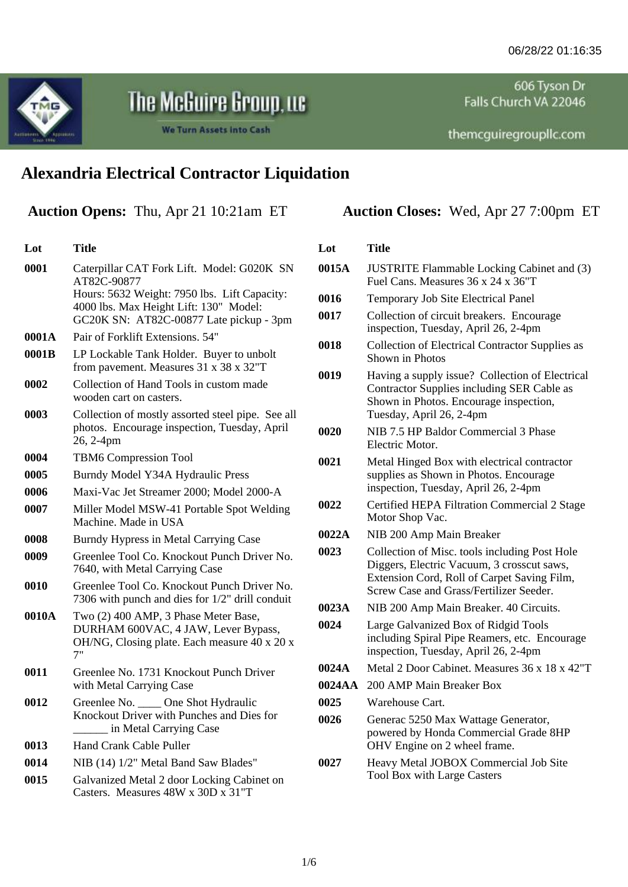606 Tyson Dr Falls Church VA 22046

MG

**Lot Title**

## The McGuire Group, Ltc

We Turn Assets into Cash

themcguiregroupllc.com

## **Alexandria Electrical Contractor Liquidation**

**Auction Opens:** Thu, Apr 21 10:21am ET **Auction Closes:** Wed, Apr 27 7:00pm ET

| 0001  | Caterpillar CAT Fork Lift. Model: G020K SN<br>AT82C-90877                                                                         |
|-------|-----------------------------------------------------------------------------------------------------------------------------------|
|       | Hours: 5632 Weight: 7950 lbs. Lift Capacity:<br>4000 lbs. Max Height Lift: 130" Model:<br>GC20K SN: AT82C-00877 Late pickup - 3pm |
| 0001A | Pair of Forklift Extensions. 54"                                                                                                  |
| 0001B | LP Lockable Tank Holder. Buyer to unbolt<br>from pavement. Measures 31 x 38 x 32"T                                                |
| 0002  | Collection of Hand Tools in custom made<br>wooden cart on casters.                                                                |
| 0003  | Collection of mostly assorted steel pipe. See all<br>photos. Encourage inspection, Tuesday, April<br>26, 2-4pm                    |
| 0004  | <b>TBM6 Compression Tool</b>                                                                                                      |
| 0005  | Burndy Model Y34A Hydraulic Press                                                                                                 |
| 0006  | Maxi-Vac Jet Streamer 2000; Model 2000-A                                                                                          |
| 0007  | Miller Model MSW-41 Portable Spot Welding<br>Machine. Made in USA                                                                 |
| 0008  | Burndy Hypress in Metal Carrying Case                                                                                             |
| 0009  | Greenlee Tool Co. Knockout Punch Driver No.<br>7640, with Metal Carrying Case                                                     |
| 0010  | Greenlee Tool Co. Knockout Punch Driver No.<br>7306 with punch and dies for 1/2" drill conduit                                    |
| 0010A | Two (2) 400 AMP, 3 Phase Meter Base,<br>DURHAM 600VAC, 4 JAW, Lever Bypass,<br>OH/NG, Closing plate. Each measure 40 x 20 x<br>7" |
| 0011  | Greenlee No. 1731 Knockout Punch Driver<br>with Metal Carrying Case                                                               |
| 0012  | Greenlee No. _____ One Shot Hydraulic<br>Knockout Driver with Punches and Dies for<br>in Metal Carrying Case                      |
| 0013  | Hand Crank Cable Puller                                                                                                           |
| 0014  | NIB (14) 1/2" Metal Band Saw Blades"                                                                                              |
| 0015  | Galvanized Metal 2 door Locking Cabinet on<br>Casters. Measures 48W x 30D x 31"T                                                  |

| Lot    | Title                                                                                                                                                                                 |
|--------|---------------------------------------------------------------------------------------------------------------------------------------------------------------------------------------|
| 0015A  | <b>JUSTRITE Flammable Locking Cabinet and (3)</b><br>Fuel Cans. Measures 36 x 24 x 36"T                                                                                               |
| 0016   | <b>Temporary Job Site Electrical Panel</b>                                                                                                                                            |
| 0017   | Collection of circuit breakers. Encourage<br>inspection, Tuesday, April 26, 2-4pm                                                                                                     |
| 0018   | Collection of Electrical Contractor Supplies as<br>Shown in Photos                                                                                                                    |
| 0019   | Having a supply issue? Collection of Electrical<br>Contractor Supplies including SER Cable as<br>Shown in Photos. Encourage inspection,<br>Tuesday, April 26, 2-4pm                   |
| 0020   | NIB 7.5 HP Baldor Commercial 3 Phase<br>Electric Motor.                                                                                                                               |
| 0021   | Metal Hinged Box with electrical contractor<br>supplies as Shown in Photos. Encourage<br>inspection, Tuesday, April 26, 2-4pm                                                         |
| 0022   | Certified HEPA Filtration Commercial 2 Stage<br>Motor Shop Vac.                                                                                                                       |
| 0022A  | NIB 200 Amp Main Breaker                                                                                                                                                              |
| 0023   | Collection of Misc. tools including Post Hole<br>Diggers, Electric Vacuum, 3 crosscut saws,<br>Extension Cord, Roll of Carpet Saving Film,<br>Screw Case and Grass/Fertilizer Seeder. |
| 0023A  | NIB 200 Amp Main Breaker. 40 Circuits.                                                                                                                                                |
| 0024   | Large Galvanized Box of Ridgid Tools<br>including Spiral Pipe Reamers, etc. Encourage<br>inspection, Tuesday, April 26, 2-4pm                                                         |
| 0024A  | Metal 2 Door Cabinet. Measures 36 x 18 x 42"T                                                                                                                                         |
| 0024AA | 200 AMP Main Breaker Box                                                                                                                                                              |
| 0025   | Warehouse Cart.                                                                                                                                                                       |
| 0026   | Generac 5250 Max Wattage Generator,<br>powered by Honda Commercial Grade 8HP<br>OHV Engine on 2 wheel frame.                                                                          |
| 0027   | Heavy Metal JOBOX Commercial Job Site<br>Tool Box with Large Casters                                                                                                                  |
|        |                                                                                                                                                                                       |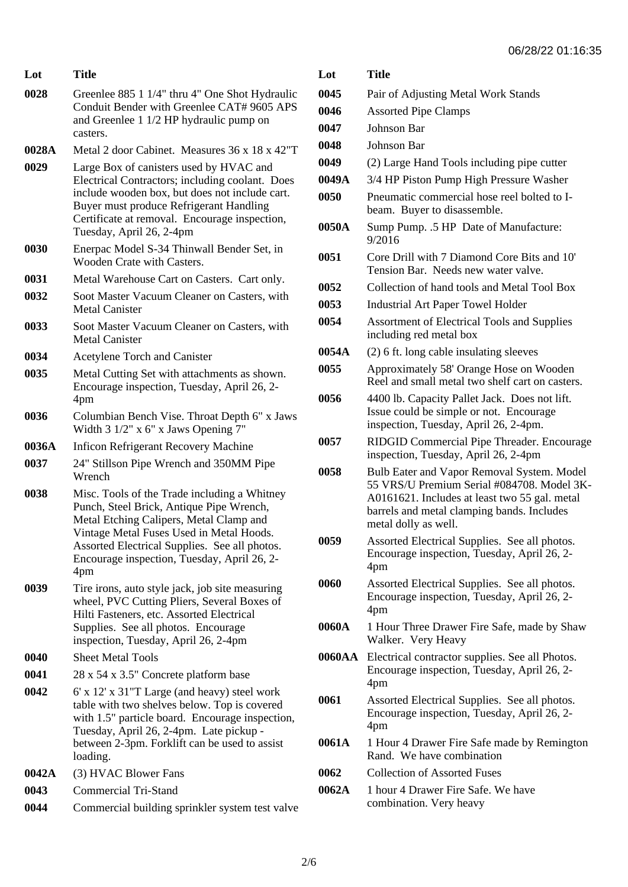| 06/28/22 01:16:35 |  |  |
|-------------------|--|--|
|-------------------|--|--|

| Lot   | Title                                                                                                                                                                                                                                                                                  |
|-------|----------------------------------------------------------------------------------------------------------------------------------------------------------------------------------------------------------------------------------------------------------------------------------------|
| 0028  | Greenlee 885 1 1/4" thru 4" One Shot Hydraulic<br>Conduit Bender with Greenlee CAT# 9605 APS<br>and Greenlee 1 1/2 HP hydraulic pump on<br>casters.                                                                                                                                    |
| 0028A | Metal 2 door Cabinet. Measures 36 x 18 x 42"T                                                                                                                                                                                                                                          |
| 0029  | Large Box of canisters used by HVAC and<br>Electrical Contractors; including coolant. Does<br>include wooden box, but does not include cart.<br>Buyer must produce Refrigerant Handling<br>Certificate at removal. Encourage inspection,<br>Tuesday, April 26, 2-4pm                   |
| 0030  | Enerpac Model S-34 Thinwall Bender Set, in<br>Wooden Crate with Casters.                                                                                                                                                                                                               |
| 0031  | Metal Warehouse Cart on Casters. Cart only.                                                                                                                                                                                                                                            |
| 0032  | Soot Master Vacuum Cleaner on Casters, with<br><b>Metal Canister</b>                                                                                                                                                                                                                   |
| 0033  | Soot Master Vacuum Cleaner on Casters, with<br><b>Metal Canister</b>                                                                                                                                                                                                                   |
| 0034  | Acetylene Torch and Canister                                                                                                                                                                                                                                                           |
| 0035  | Metal Cutting Set with attachments as shown.<br>Encourage inspection, Tuesday, April 26, 2-<br>4pm                                                                                                                                                                                     |
| 0036  | Columbian Bench Vise. Throat Depth 6" x Jaws<br>Width $3 \frac{1}{2}$ " x 6" x Jaws Opening 7"                                                                                                                                                                                         |
| 0036A | <b>Inficon Refrigerant Recovery Machine</b>                                                                                                                                                                                                                                            |
| 0037  | 24" Stillson Pipe Wrench and 350MM Pipe<br>Wrench                                                                                                                                                                                                                                      |
| 0038  | Misc. Tools of the Trade including a Whitney<br>Punch, Steel Brick, Antique Pipe Wrench,<br>Metal Etching Calipers, Metal Clamp and<br>Vintage Metal Fuses Used in Metal Hoods.<br>Assorted Electrical Supplies. See all photos.<br>Encourage inspection, Tuesday, April 26, 2-<br>4pm |
| 0039  | Tire irons, auto style jack, job site measuring<br>wheel, PVC Cutting Pliers, Several Boxes of<br>Hilti Fasteners, etc. Assorted Electrical<br>Supplies. See all photos. Encourage<br>inspection, Tuesday, April 26, 2-4pm                                                             |
| 0040  | <b>Sheet Metal Tools</b>                                                                                                                                                                                                                                                               |
| 0041  | 28 x 54 x 3.5" Concrete platform base                                                                                                                                                                                                                                                  |
| 0042  | 6' x 12' x 31"T Large (and heavy) steel work<br>table with two shelves below. Top is covered<br>with 1.5" particle board. Encourage inspection,<br>Tuesday, April 26, 2-4pm. Late pickup -<br>between 2-3pm. Forklift can be used to assist<br>loading.                                |
| 0042A | (3) HVAC Blower Fans                                                                                                                                                                                                                                                                   |
| 0043  | <b>Commercial Tri-Stand</b>                                                                                                                                                                                                                                                            |
| 0044  | Commercial building sprinkler system test valve                                                                                                                                                                                                                                        |

| Lot    | Title                                                                                                                             |
|--------|-----------------------------------------------------------------------------------------------------------------------------------|
| 0045   | Pair of Adjusting Metal Work Stands                                                                                               |
| 0046   | <b>Assorted Pipe Clamps</b>                                                                                                       |
| 0047   | Johnson Bar                                                                                                                       |
| 0048   | Johnson Bar                                                                                                                       |
| 0049   | (2) Large Hand Tools including pipe cutter                                                                                        |
| 0049A  | 3/4 HP Piston Pump High Pressure Washer                                                                                           |
| 0050   | Pneumatic commercial hose reel bolted to I-<br>beam. Buyer to disassemble.                                                        |
| 0050A  | Sump Pump. .5 HP Date of Manufacture:<br>9/2016                                                                                   |
| 0051   | Core Drill with 7 Diamond Core Bits and 10'<br>Tension Bar. Needs new water valve.                                                |
| 0052   | Collection of hand tools and Metal Tool Box                                                                                       |
| 0053   | Industrial Art Paper Towel Holder                                                                                                 |
| 0054   | <b>Assortment of Electrical Tools and Supplies</b><br>including red metal box                                                     |
| 0054A  | (2) 6 ft. long cable insulating sleeves                                                                                           |
| 0055   | Approximately 58' Orange Hose on Wooden<br>Reel and small metal two shelf cart on casters.                                        |
| 0056   | 4400 lb. Capacity Pallet Jack. Does not lift.<br>Issue could be simple or not. Encourage<br>inspection, Tuesday, April 26, 2-4pm. |
| 0057   | RIDGID Commercial Pipe Threader. Encourage<br>inspection, Tuesday, April 26, 2-4pm                                                |
| 0058   | Bulb Eater and Vapor Removal System. Model<br>55 VRS/U Premium Serial #084708. Model 3K-                                          |
|        | A0161621. Includes at least two 55 gal. metal<br>barrels and metal clamping bands. Includes<br>metal dolly as well.               |
| 0059   | Assorted Electrical Supplies. See all photos.<br>Encourage inspection, Tuesday, April 26, 2-<br>4pm                               |
| 0060   | Assorted Electrical Supplies. See all photos.<br>Encourage inspection, Tuesday, April 26, 2-<br>4pm                               |
| 0060A  | 1 Hour Three Drawer Fire Safe, made by Shaw<br>Walker. Very Heavy                                                                 |
| 0060AA | Electrical contractor supplies. See all Photos.<br>Encourage inspection, Tuesday, April 26, 2-<br>4pm                             |
| 0061   | Assorted Electrical Supplies. See all photos.<br>Encourage inspection, Tuesday, April 26, 2-<br>4pm                               |
| 0061A  | 1 Hour 4 Drawer Fire Safe made by Remington<br>Rand. We have combination                                                          |
| 0062   | <b>Collection of Assorted Fuses</b>                                                                                               |
| 0062A  | 1 hour 4 Drawer Fire Safe. We have<br>combination. Very heavy                                                                     |
|        |                                                                                                                                   |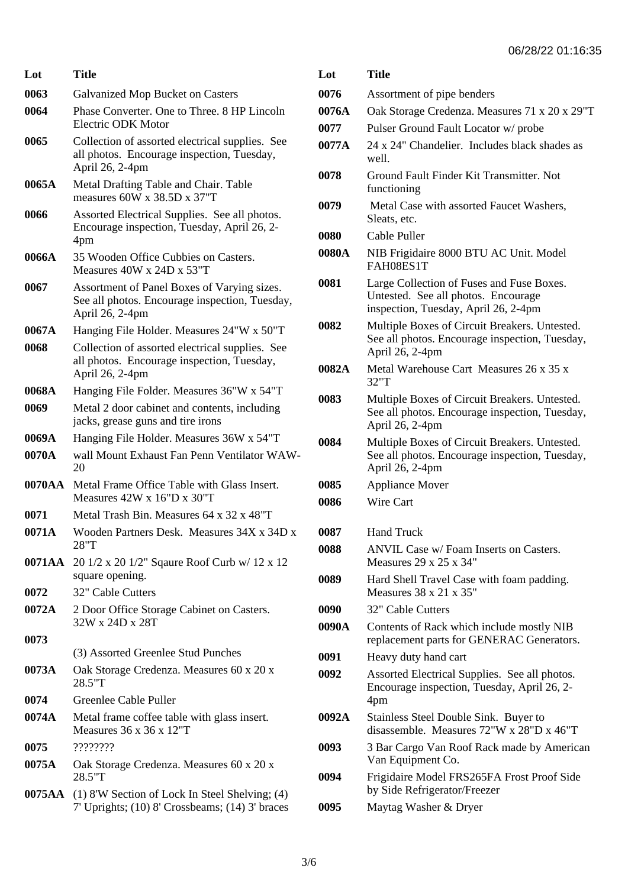| Lot    | Title                                                                                                            |
|--------|------------------------------------------------------------------------------------------------------------------|
| 0063   | <b>Galvanized Mop Bucket on Casters</b>                                                                          |
| 0064   | Phase Converter. One to Three. 8 HP Lincoln<br>Electric ODK Motor                                                |
| 0065   | Collection of assorted electrical supplies. See<br>all photos. Encourage inspection, Tuesday,<br>April 26, 2-4pm |
| 0065A  | Metal Drafting Table and Chair. Table<br>measures $60W \times 38.5D \times 37"T$                                 |
| 0066   | Assorted Electrical Supplies. See all photos.<br>Encourage inspection, Tuesday, April 26, 2-<br>4pm              |
| 0066A  | 35 Wooden Office Cubbies on Casters.<br>Measures 40W x 24D x 53"T                                                |
| 0067   | Assortment of Panel Boxes of Varying sizes.<br>See all photos. Encourage inspection, Tuesday,<br>April 26, 2-4pm |
| 0067A  | Hanging File Holder. Measures 24"W x 50"T                                                                        |
| 0068   | Collection of assorted electrical supplies. See<br>all photos. Encourage inspection, Tuesday,<br>April 26, 2-4pm |
| 0068A  | Hanging File Folder. Measures 36"W x 54"T                                                                        |
| 0069   | Metal 2 door cabinet and contents, including<br>jacks, grease guns and tire irons                                |
| 0069A  | Hanging File Holder. Measures 36W x 54"T                                                                         |
| 0070A  | wall Mount Exhaust Fan Penn Ventilator WAW-<br>20                                                                |
| 0070AA | Metal Frame Office Table with Glass Insert.<br>Measures $42W \times 16"D \times 30"T$                            |
| 0071   | Metal Trash Bin. Measures 64 x 32 x 48"T                                                                         |
| 0071A  | Wooden Partners Desk. Measures 34X x 34D x<br>28"T                                                               |
|        | <b>0071AA</b> 20 1/2 x 20 1/2" Sqaure Roof Curb w/ 12 x 12<br>square opening.                                    |
| 0072   | 32" Cable Cutters                                                                                                |
| 0072A  | 2 Door Office Storage Cabinet on Casters.<br>32W x 24D x 28T                                                     |
| 0073   | (3) Assorted Greenlee Stud Punches                                                                               |
| 0073A  | Oak Storage Credenza. Measures 60 x 20 x<br>28.5"T                                                               |
| 0074   | Greenlee Cable Puller                                                                                            |
| 0074A  | Metal frame coffee table with glass insert.<br>Measures $36 \times 36 \times 12$ "T                              |
| 0075   | ????????                                                                                                         |
| 0075A  | Oak Storage Credenza. Measures 60 x 20 x<br>28.5"T                                                               |
|        | <b>0075AA</b> (1) 8'W Section of Lock In Steel Shelving; (4)                                                     |

7' Uprights; (10) 8' Crossbeams; (14) 3' braces

| Lot   | Title                                                                                                                    |
|-------|--------------------------------------------------------------------------------------------------------------------------|
| 0076  | Assortment of pipe benders                                                                                               |
| 0076A | Oak Storage Credenza. Measures 71 x 20 x 29"T                                                                            |
| 0077  | Pulser Ground Fault Locator w/ probe                                                                                     |
| 0077A | 24 x 24" Chandelier. Includes black shades as<br>well.                                                                   |
| 0078  | Ground Fault Finder Kit Transmitter. Not<br>functioning                                                                  |
| 0079  | Metal Case with assorted Faucet Washers,<br>Sleats, etc.                                                                 |
| 0080  | Cable Puller                                                                                                             |
| 0080A | NIB Frigidaire 8000 BTU AC Unit. Model<br>FAH08ES1T                                                                      |
| 0081  | Large Collection of Fuses and Fuse Boxes.<br>Untested. See all photos. Encourage<br>inspection, Tuesday, April 26, 2-4pm |
| 0082  | Multiple Boxes of Circuit Breakers. Untested.<br>See all photos. Encourage inspection, Tuesday,<br>April 26, 2-4pm       |
| 0082A | Metal Warehouse Cart Measures 26 x 35 x<br>32"T                                                                          |
| 0083  | Multiple Boxes of Circuit Breakers. Untested.<br>See all photos. Encourage inspection, Tuesday,<br>April 26, 2-4pm       |
| 0084  | Multiple Boxes of Circuit Breakers. Untested.<br>See all photos. Encourage inspection, Tuesday,<br>April 26, 2-4pm       |
| 0085  | <b>Appliance Mover</b>                                                                                                   |
| 0086  | Wire Cart                                                                                                                |
| 0087  | <b>Hand Truck</b>                                                                                                        |
| 0088  | ANVIL Case w/Foam Inserts on Casters.<br>Measures $29 \times 25 \times 34$ "                                             |
| 0089  | Hard Shell Travel Case with foam padding.<br>Measures $38 \times 21 \times 35$ "                                         |
| 0090  | 32" Cable Cutters                                                                                                        |
| 0090A | Contents of Rack which include mostly NIB<br>replacement parts for GENERAC Generators.                                   |
| 0091  | Heavy duty hand cart                                                                                                     |
| 0092  | Assorted Electrical Supplies. See all photos.<br>Encourage inspection, Tuesday, April 26, 2-<br>4pm                      |
| 0092A | Stainless Steel Double Sink. Buyer to<br>disassemble. Measures 72"W x 28"D x 46"T                                        |
| 0093  | 3 Bar Cargo Van Roof Rack made by American<br>Van Equipment Co.                                                          |
| 0094  | Frigidaire Model FRS265FA Frost Proof Side<br>by Side Refrigerator/Freezer                                               |
| 0095  | Maytag Washer & Dryer                                                                                                    |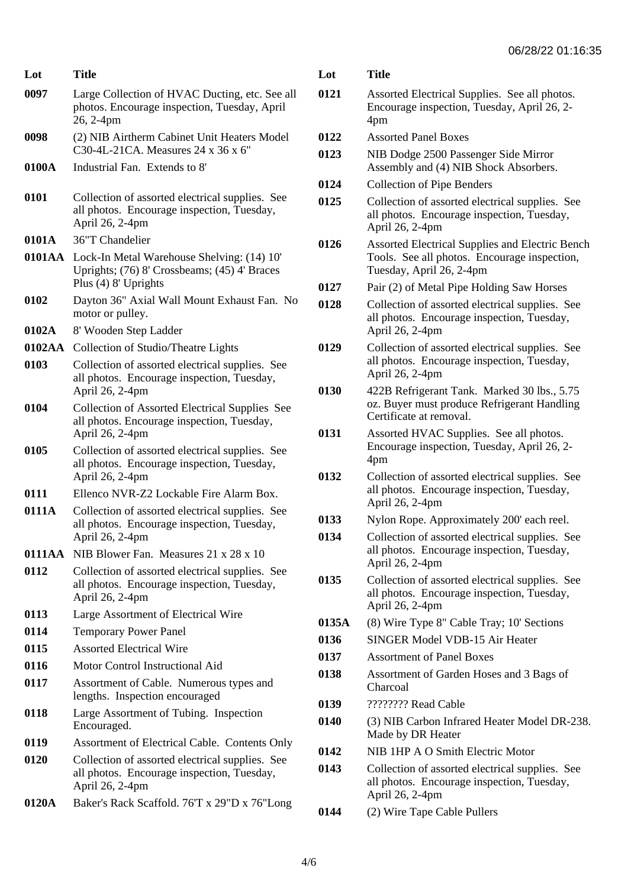| Lot    | Title                                                                                                              | Lot        |
|--------|--------------------------------------------------------------------------------------------------------------------|------------|
| 0097   | Large Collection of HVAC Ducting, etc. See all<br>photos. Encourage inspection, Tuesday, April<br>26, 2-4pm        | 012        |
| 0098   | (2) NIB Airtherm Cabinet Unit Heaters Model<br>C30-4L-21CA. Measures 24 x 36 x 6"                                  | 012<br>012 |
| 0100A  | Industrial Fan. Extends to 8'                                                                                      | 012        |
| 0101   | Collection of assorted electrical supplies. See<br>all photos. Encourage inspection, Tuesday,<br>April 26, 2-4pm   | 012        |
| 0101A  | 36"T Chandelier                                                                                                    | 012        |
| 0101AA | Lock-In Metal Warehouse Shelving: (14) 10'<br>Uprights; (76) 8' Crossbeams; (45) 4' Braces<br>Plus (4) 8' Uprights | 012        |
| 0102   | Dayton 36" Axial Wall Mount Exhaust Fan. No<br>motor or pulley.                                                    | 012        |
| 0102A  | 8' Wooden Step Ladder                                                                                              |            |
| 0102AA | Collection of Studio/Theatre Lights                                                                                | 012        |
| 0103   | Collection of assorted electrical supplies. See<br>all photos. Encourage inspection, Tuesday,<br>April 26, 2-4pm   | 013        |
| 0104   | Collection of Assorted Electrical Supplies See<br>all photos. Encourage inspection, Tuesday,<br>April 26, 2-4pm    | 013        |
| 0105   | Collection of assorted electrical supplies. See<br>all photos. Encourage inspection, Tuesday,<br>April 26, 2-4pm   | 013        |
| 0111   | Ellenco NVR-Z2 Lockable Fire Alarm Box.                                                                            |            |
| 0111A  | Collection of assorted electrical supplies. See<br>all photos. Encourage inspection, Tuesday,<br>April 26, 2-4pm   | 013<br>013 |
| 0111AA | NIB Blower Fan. Measures 21 x 28 x 10                                                                              |            |
| 0112   | Collection of assorted electrical supplies. See<br>all photos. Encourage inspection, Tuesday,<br>April 26, 2-4pm   | 013        |
| 0113   | Large Assortment of Electrical Wire                                                                                |            |
| 0114   | <b>Temporary Power Panel</b>                                                                                       | 013<br>013 |
| 0115   | <b>Assorted Electrical Wire</b>                                                                                    | 013        |
| 0116   | Motor Control Instructional Aid                                                                                    | 013        |
| 0117   | Assortment of Cable. Numerous types and<br>lengths. Inspection encouraged                                          | 013        |
| 0118   | Large Assortment of Tubing. Inspection<br>Encouraged.                                                              | 014        |
| 0119   | Assortment of Electrical Cable. Contents Only                                                                      | 014        |
| 0120   | Collection of assorted electrical supplies. See<br>all photos. Encourage inspection, Tuesday,<br>April 26, 2-4pm   | 014        |
| 0120A  | Baker's Rack Scaffold. 76'T x 29"D x 76"Long                                                                       | 014        |

| Lot   | Title                                                                                                                              |
|-------|------------------------------------------------------------------------------------------------------------------------------------|
| 0121  | Assorted Electrical Supplies. See all photos.<br>Encourage inspection, Tuesday, April 26, 2-<br>4pm                                |
| 0122  | <b>Assorted Panel Boxes</b>                                                                                                        |
| 0123  | NIB Dodge 2500 Passenger Side Mirror<br>Assembly and (4) NIB Shock Absorbers.                                                      |
| 0124  | <b>Collection of Pipe Benders</b>                                                                                                  |
| 0125  | Collection of assorted electrical supplies. See<br>all photos. Encourage inspection, Tuesday,<br>April 26, 2-4pm                   |
| 0126  | <b>Assorted Electrical Supplies and Electric Bench</b><br>Tools. See all photos. Encourage inspection,<br>Tuesday, April 26, 2-4pm |
| 0127  | Pair (2) of Metal Pipe Holding Saw Horses                                                                                          |
| 0128  | Collection of assorted electrical supplies. See<br>all photos. Encourage inspection, Tuesday,<br>April 26, 2-4pm                   |
| 0129  | Collection of assorted electrical supplies. See<br>all photos. Encourage inspection, Tuesday,<br>April 26, 2-4pm                   |
| 0130  | 422B Refrigerant Tank. Marked 30 lbs., 5.75<br>oz. Buyer must produce Refrigerant Handling<br>Certificate at removal.              |
| 0131  | Assorted HVAC Supplies. See all photos.<br>Encourage inspection, Tuesday, April 26, 2-<br>4pm                                      |
| 0132  | Collection of assorted electrical supplies. See<br>all photos. Encourage inspection, Tuesday,<br>April 26, 2-4pm                   |
| 0133  | Nylon Rope. Approximately 200' each reel.                                                                                          |
| 0134  | Collection of assorted electrical supplies. See<br>all photos. Encourage inspection, Tuesday,<br>April 26, 2-4pm                   |
| 0135  | Collection of assorted electrical supplies. See<br>all photos. Encourage inspection, Tuesday,<br>April 26, 2-4pm                   |
| 0135A | (8) Wire Type 8" Cable Tray; 10' Sections                                                                                          |
| 0136  | SINGER Model VDB-15 Air Heater                                                                                                     |
| 0137  | <b>Assortment of Panel Boxes</b>                                                                                                   |
| 0138  | Assortment of Garden Hoses and 3 Bags of<br>Charcoal                                                                               |
| 0139  | ???????? Read Cable                                                                                                                |
| 0140  | (3) NIB Carbon Infrared Heater Model DR-238.<br>Made by DR Heater                                                                  |
| 0142  | NIB 1HP A O Smith Electric Motor                                                                                                   |
| 0143  | Collection of assorted electrical supplies. See<br>all photos. Encourage inspection, Tuesday,<br>April 26, 2-4pm                   |
| 0144  | (2) Wire Tape Cable Pullers                                                                                                        |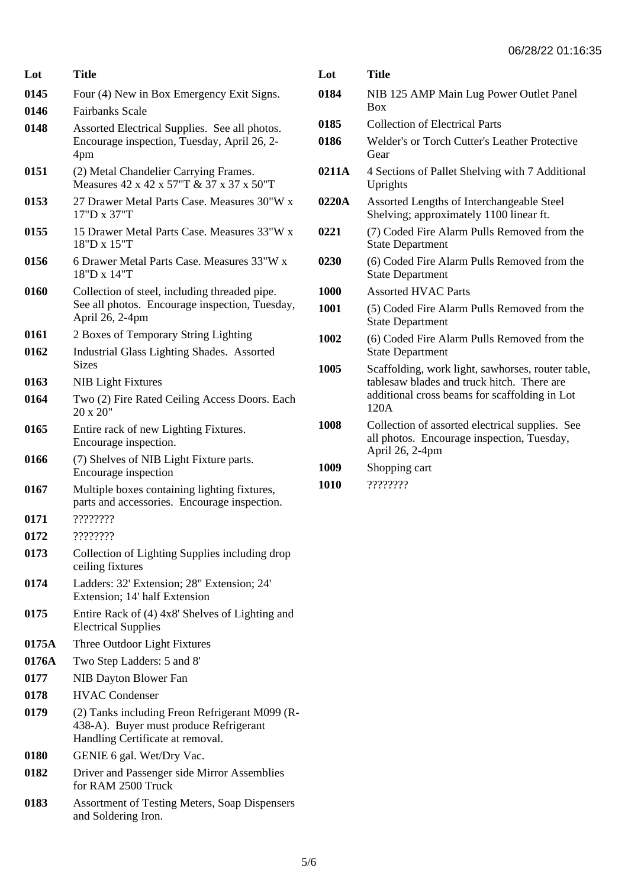| Lot   | Title                                                                                                                        |
|-------|------------------------------------------------------------------------------------------------------------------------------|
| 0145  | Four (4) New in Box Emergency Exit Signs.                                                                                    |
| 0146  | <b>Fairbanks Scale</b>                                                                                                       |
| 0148  | Assorted Electrical Supplies. See all photos.<br>Encourage inspection, Tuesday, April 26, 2-<br>4pm                          |
| 0151  | (2) Metal Chandelier Carrying Frames.<br>Measures 42 x 42 x 57"T & 37 x 37 x 50"T                                            |
| 0153  | 27 Drawer Metal Parts Case. Measures 30"W x<br>17"D x 37"T                                                                   |
| 0155  | 15 Drawer Metal Parts Case. Measures 33"W x<br>18"D x 15"T                                                                   |
| 0156  | 6 Drawer Metal Parts Case. Measures 33"W x<br>18"D x 14"T                                                                    |
| 0160  | Collection of steel, including threaded pipe.<br>See all photos. Encourage inspection, Tuesday,<br>April 26, 2-4pm           |
| 0161  | 2 Boxes of Temporary String Lighting                                                                                         |
| 0162  | Industrial Glass Lighting Shades. Assorted<br><b>Sizes</b>                                                                   |
| 0163  | <b>NIB Light Fixtures</b>                                                                                                    |
| 0164  | Two (2) Fire Rated Ceiling Access Doors. Each<br>20 x 20"                                                                    |
| 0165  | Entire rack of new Lighting Fixtures.<br>Encourage inspection.                                                               |
| 0166  | (7) Shelves of NIB Light Fixture parts.<br>Encourage inspection                                                              |
| 0167  | Multiple boxes containing lighting fixtures,<br>parts and accessories. Encourage inspection.                                 |
| 0171  | ????????                                                                                                                     |
| 0172  | ????????                                                                                                                     |
| 0173  | Collection of Lighting Supplies including drop<br>ceiling fixtures                                                           |
| 0174  | Ladders: 32' Extension; 28" Extension; 24'<br>Extension; 14' half Extension                                                  |
| 0175  | Entire Rack of (4) 4x8' Shelves of Lighting and<br><b>Electrical Supplies</b>                                                |
| 0175A | Three Outdoor Light Fixtures                                                                                                 |
| 0176A | Two Step Ladders: 5 and 8'                                                                                                   |
| 0177  | NIB Dayton Blower Fan                                                                                                        |
| 0178  | <b>HVAC Condenser</b>                                                                                                        |
| 0179  | (2) Tanks including Freon Refrigerant M099 (R-<br>438-A). Buyer must produce Refrigerant<br>Handling Certificate at removal. |
| 0180  | GENIE 6 gal. Wet/Dry Vac.                                                                                                    |
| 0182  | Driver and Passenger side Mirror Assemblies<br>for RAM 2500 Truck                                                            |

**0183** Assortment of Testing Meters, Soap Dispensers and Soldering Iron.

| Lot   | <b>Title</b>                                                                                                                                             |
|-------|----------------------------------------------------------------------------------------------------------------------------------------------------------|
| 0184  | NIB 125 AMP Main Lug Power Outlet Panel<br><b>Box</b>                                                                                                    |
| 0185  | <b>Collection of Electrical Parts</b>                                                                                                                    |
| 0186  | Welder's or Torch Cutter's Leather Protective<br>Gear                                                                                                    |
| 0211A | 4 Sections of Pallet Shelving with 7 Additional<br>Uprights                                                                                              |
| 0220A | Assorted Lengths of Interchangeable Steel<br>Shelving; approximately 1100 linear ft.                                                                     |
| 0221  | (7) Coded Fire Alarm Pulls Removed from the<br><b>State Department</b>                                                                                   |
| 0230  | (6) Coded Fire Alarm Pulls Removed from the<br><b>State Department</b>                                                                                   |
| 1000  | <b>Assorted HVAC Parts</b>                                                                                                                               |
| 1001  | (5) Coded Fire Alarm Pulls Removed from the<br><b>State Department</b>                                                                                   |
| 1002  | (6) Coded Fire Alarm Pulls Removed from the<br><b>State Department</b>                                                                                   |
| 1005  | Scaffolding, work light, sawhorses, router table,<br>tablesaw blades and truck hitch. There are<br>additional cross beams for scaffolding in Lot<br>120A |
| 1008  | Collection of assorted electrical supplies. See<br>all photos. Encourage inspection, Tuesday,<br>April 26, 2-4pm                                         |
| 1009  | Shopping cart                                                                                                                                            |
| 1010  | ????????                                                                                                                                                 |
|       |                                                                                                                                                          |